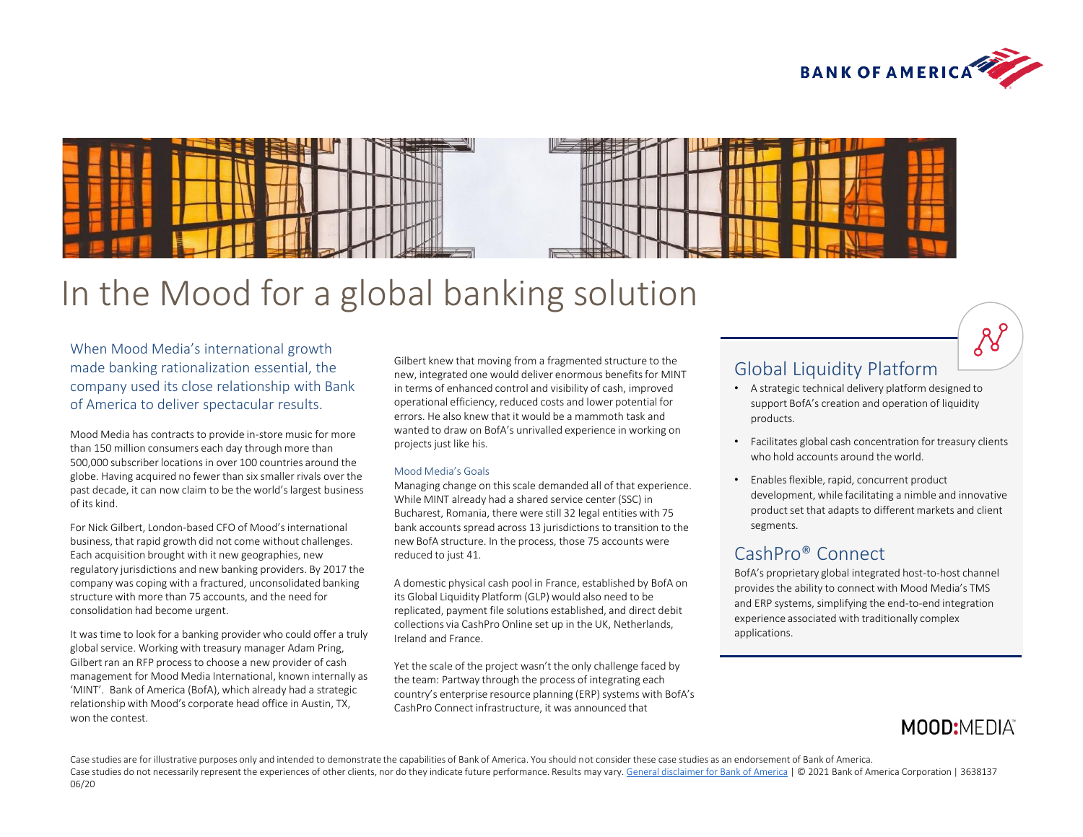



# In the Mood for a global banking solution

When Mood Media's international growth made banking rationalization essential, the company used its close relationship with Bank of America to deliver spectacular results.

Mood Media has contracts to provide in-store music for more than 150 million consumers each day through more than 500,000 subscriber locations in over 100 countries around the globe. Having acquired no fewer than six smaller rivals over the past decade, it can now claim to be the world's largest business of its kind.

For Nick Gilbert, London-based CFO of Mood's international business, that rapid growth did not come without challenges. Each acquisition brought with it new geographies, new regulatory jurisdictions and new banking providers. By 2017 the company was coping with a fractured, unconsolidated banking structure with more than 75 accounts, and the need for consolidation had become urgent.

It was time to look for a banking provider who could offer a truly global service. Working with treasury manager Adam Pring, Gilbert ran an RFP process to choose a new provider of cash management for Mood Media International, known internally as 'MINT'. Bank of America (BofA), which already had a strategic relationship with Mood's corporate head office in Austin, TX, won the contest.

Gilbert knew that moving from a fragmented structure to the new, integrated one would deliver enormous benefits for MINT in terms of enhanced control and visibility of cash, improved operational efficiency, reduced costs and lower potential for errors. He also knew that it would be a mammoth task and wanted to draw on BofA's unrivalled experience in working on projects just like his.

### Mood Media's Goals

Managing change on this scale demanded all of that experience. While MINT already had a shared service center (SSC) in Bucharest, Romania, there were still 32 legal entities with 75 bank accounts spread across 13 jurisdictions to transition to the new BofA structure. In the process, those 75 accounts were reduced to just 41.

A domestic physical cash pool in France, established by BofA on its Global Liquidity Platform (GLP) would also need to be replicated, payment file solutions established, and direct debit collections via CashPro Online set up in the UK, Netherlands, Ireland and France.

Yet the scale of the project wasn't the only challenge faced by the team: Partway through the process of integrating each country's enterprise resource planning (ERP) systems with BofA's CashPro Connect infrastructure, it was announced that

## Global Liquidity Platform

- A strategic technical delivery platform designed to support BofA's creation and operation of liquidity products.
- Facilitates global cash concentration for treasury clients who hold accounts around the world.
- Enables flexible, rapid, concurrent product development, while facilitating a nimble and innovative product set that adapts to different markets and client segments.

## CashPro® Connect

BofA's proprietary global integrated host-to-host channel provides the ability to connect with Mood Media's TMS and ERP systems, simplifying the end-to-end integration experience associated with traditionally complex applications.

# **MOOD:MEDIA**

 $8^{6}$ 

Case studies are for illustrative purposes only and intended to demonstrate the capabilities of Bank of America. You should not consider these case studies as an endorsement of Bank of America. Case studies do not necessarily represent the experiences of other clients, nor do they indicate future performance. Results may vary. [General disclaimer for Bank of America](http://www.bofaml.com/en-us/content/baml-disclaimer.html) | © 2021 Bank of America Corporation | 3638137 06/20